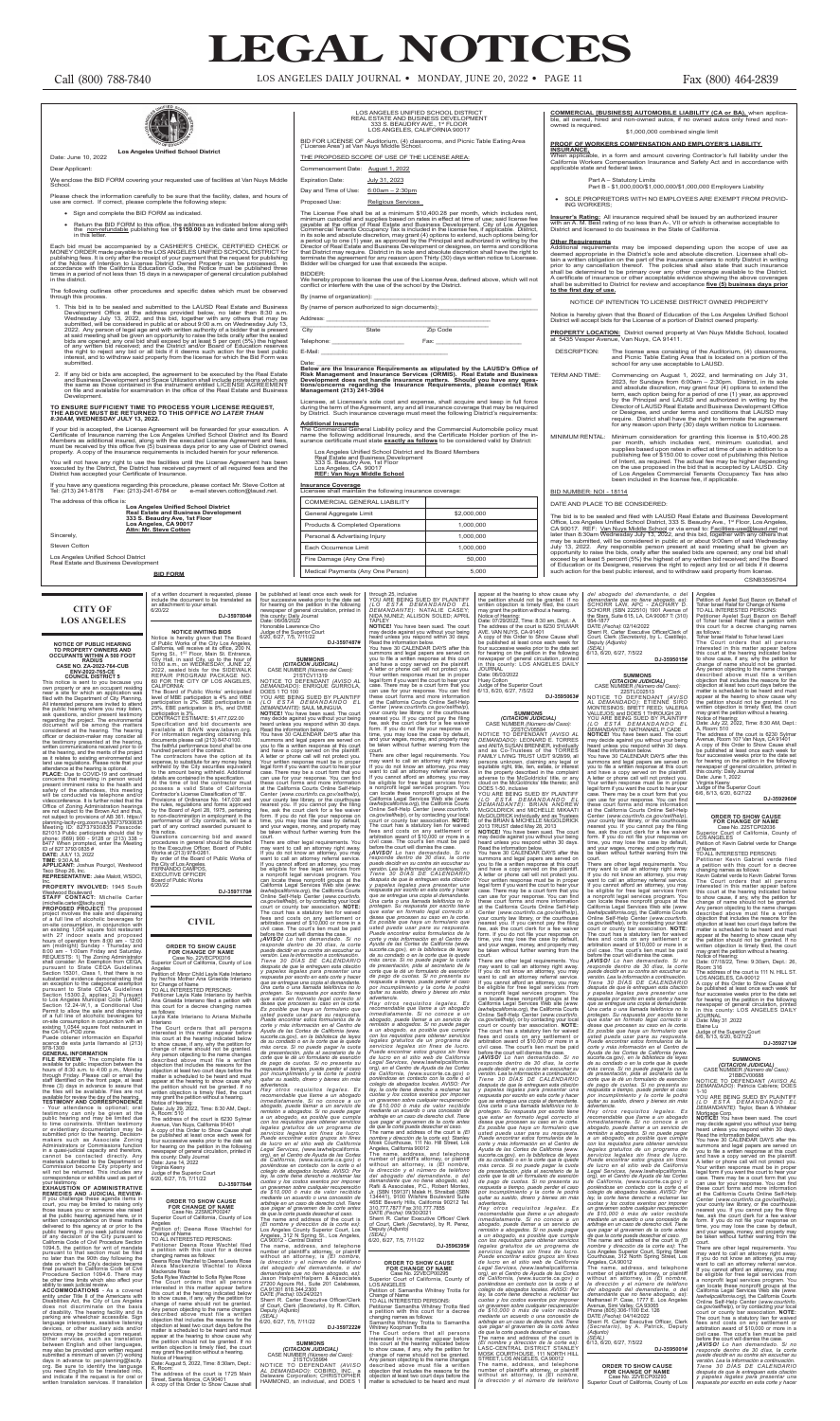**CITY OF LOS ANGELES**

**NOTICE OF PUBLIC HEARING TO PROPERTY OWNERS AND OCCUPANTS WITHIN A 500 FOOT RADIUS CASE NO. ZA-2022-764-CUB ENV-2022-765-CE COUNCIL DISTRICT 5** This notice is sent to you because you own property or are an occupant residing near a site for which an application was

filed with the Department of City Planning.<br>All interested persons are invited to attend<br>the public hearing where you may listen,<br>ask questions, and/or present testimony<br>regarding the project. The environmental docouncent

Westwood Boulevard **STAFF CONTACT:** Michelle Carter (michelle.carter@lacity.org)<br>**PROPOSED PROJECT:** The proposed

**PLACE:** Due to COVID-19 and continued concerns that meeting in person would present imminent risks to the health and safety of the attendees, this meeting conducted via telephone and/or videoconference. It is further noted that the

Office of Zoning Administration hearings are not subject to the Brown Act and thus, not subject to provisions of AB 361. https:// planning-lacity-org.zoom.us/j/82737930835<br>Meeting ID: 82737930835 Passcode:<br>821013 Public participants should dial by<br>phone: (669) 900 - 9128 or (213) 338 –<br>8477 When prompted, enter the Meeting<br>ID of 827 3793 0835 # **DATE:** JULY 13, 2022

**PROPOSED PROJECT:** The proposed project involves the sale and dispensing of a full line of alcoholic beverages for on-site consumption, in conjunction with an existing 1,054 square foot restaurant with 27 indoor seats and REQUESTS: 1) The Zoning Administrator shall consider: An Exemption from CEQA, pursuant to State CEQA Guidelines Section 15301, Class 1, that there is no substantial evidence demonstrating that an exception to the categorical exemption pursuant to State CEQA Guidelines Section 15300.2, applies; 2) Pursuant to Los Angeles Municipal Code (LAMC) Section 12.24-W,1, a Conditional Use Permit to allow the sale and disper of a full line of alcoholic beverages for on-site consumption in conjunction with an existing 1,0544 square foot restaurant in the C4-1VL-POD zone.

**TIME**: 9:30 A.M. **APPLICANT:** Joshua Pourgol, Westwood

- Your attendance is optional; oral testimony can only be given at the public hearing and may be limited due to time constraints. Written testimony or evidentiary documentation may be submitted prior to the hearing. Decisionmakers such as Associate Zoning Administrators or Commissions function in a quasi-judicial capacity and therefore, cannot be contacted directly. An materials submitted to the Department or Commission become City property and will not be returned. This includes any correspondence or exhibits used as part of

Taco Shop 26, Inc. **REPRESENTATIVE:** Jake Malott, WSDCI,

Inc. **PROPERTY INVOLVED:** 1945 South

Puede obtener información en Español acerca de esta junta llamando al (213) 978-1300

#### **GENERAL INFORMATION**

**FILE REVIEW** - The complete file is available for public inspection between the hours of 8:30 a.m. to 4:00 p.m., Monday through Friday. Please call or email the staff identified on the front page, at least three (3) days in advance to assure that the files will be available. Files are not available for review the day of the hearing. **TESTIMONY AND CORRESPONDENCE**

CONTRACT ESTIMATE: \$1,477,022.00<br>Specification and bid odcuments are<br>Specification and bid odcuments are<br>For information regarding obtaining this<br>documents please call (213) 847-0100.<br>The faithful performance bond shall be performance of City contracts, will be a part of any contract awarded pursuant to this notice. Questions concerning bid and award procedures in general should be directed to the Executive Officer, Board of Public Works at (213) 978-0261. By order of the Board of Public Works of the City of Los Angeles. FERNANDO CAMPOS, EXECUTIVE OFFICER Board of Public Works 6/20/22 **DJ-3597170#**

your testimony. **EXHAUSTION OF ADMINISTRATIVE REMEDIES AND JUDICIAL REVIEW**-

If you challenge these agenda items in court, you may be limited to raising only those issues you or someone else raised at the public hearing agenized here, or in written correspondence on these matters delivered to this agency at or prior to the public hearing. If you seek judicial review of any decision of the City pursuant to California Code of Civil Procedure Section 1094.5, the petition for writ of mandate pursuant to that section must be filed no later than the 90th day following the date on which the City's decision became final pursuant to California Code of Civil Procedure Section 1094.6. There may be other time limits which also affect your

The Court orders that all persons<br>interested in this matter appear before<br>this court at the hearing indicated below<br>to show cause, if any, why the petition for<br>change of name should not be granted. Any person objecting to the name changes described above must file a written objection that includes the reasons for the objection at least two court days before the matter is scheduled to be heard and mus appear at the hearing to show cause why the petition should not be granted. If no written objection is timely filed, the court

ability to seek judicial review. **ACCOMMODATIONS** - As a covered entity under Title II of the Americans with Disabilities Act, the City of Los Angeles does not discriminate on the basis of disability. The hearing facility and its parking are wheelchair accessible. Sign language interpreters, assistive listening devices, or other auxiliary aids and/or services may be provided upon request Other services, such as translation between English and other languages, may also be provided upon written request submitted a minimum of seven (7) working<br>days in advance to: per planning@lacity days in advance to: per.planning@<br>org. Be sure to identify the lan org. Be sure to identify the language you need English to be translated into, and indicate if the request is for oral or written translation services. If translation

**DJ-3597487# INDITIE!** You have been sued. The court<br>may decide against you without your being<br>heard unless you respond within 30 days.<br>Read the information below.

### of a written document is requested, please include the document to be translated as an attachment to your email.

#### **DJ-3597804#**

NOTICE INVITING BIDS<br>
Notice is hereby given that The Board<br>
of Public Works of the City Los Angeles,<br>
California, will receive at its office, 200 N.<br>
Spring St., 1<sup>51</sup> Floor, Main St. Entrance,<br>
City Hall, in said City, u

arbitration award of \$10,000 or more in a<br>civil case. The court's lien must be paid<br>before the court will dismiss the case.<br>j*AVISO! Lo han demandado. Si no<br>responde dentro de 30 dias, la corte<br>puede decidir en su contra s versión. Lea la información a continuación.*

Tien 30 DIAS DE CALENDARIO<br>
adespués de que le entreguen esta citación<br>
y papeles iegales para presentar una<br>
grespuesta por escrito en esta corta en de tentreguen esta citación<br>
que se entregue una copia al demandante.<br>
U

Hay otros requisitos legales. Es<br>recomendable que llame a un abogado<br>inmediatamente. Si no conoce a un<br>abogado, puede llame a un sevicio de<br>remisión a abogado, so posible que cumpla<br>remisión a abogado, so posible que cumpl

de \$10,000 ó más de valor necidida<br>mediante un acuerdo o una concesión de<br>mediante un acuerdo o una concesión de<br>arbitraje en un caso de derecho civil. Tene<br>que pagar el gravamen de la corte antes<br>mediantes de que la cort

## **SUMMONS**<br>*(CITACION JUDICIAL)*

**CIVIL**

**ORDER TO SHOW CAUSE<br>FOR CHANGE OF NAME<br>Case No. 22VECP00316<br>Superior Court of California, County of Los** 

Angeles<br>Petition of: Minor Child Layla Kate Interianc

Petition of: Minor Child Layla Kate Interiano<br>Petition of: Minor Child Layla Kate Interiano<br>for Change of Name<br>TO ALL INTERESTED PERSONS:<br>Petitioner Layla Kate Interiano by her/his<br>Ana Griselda Interiano filed a petition w as iollows:<br>Layla Kate Interiano to Ariana Michelle

interiano<br>The Court orders that all persons The Court orders that all persons that the method interacted in this matter appear before this court at the hearing indicated below change of name should not be granted. Any person objecting to the name changes of name obj

*(CITACION JUDICIAL)* CASE NUMBER *(Número del Caso):* 21STCV35994 NOTICE TO DEFENDANT *(AVISO AL DEMANDADO)*: COBIRD, ÎNC., a<br>Delaware Corporation; CHRISTOPHER<br>HAMMOND, an individual, and DOES 1

Judge of the Superior Court 6/20, 6/27, 7/5, 7/11/22

**DJ-3597784#**

# **ORDER TO SHOW CAUSE<br>
FOR CHANGE OF NAME<br>
Case No. 22SMCP00247<br>
Superior Court of California, County of Los**

Angeles Petition of: Deena Rose Wachtel for

Change of Name TO ALL INTERESTED PERSONS: Petitioner Deena Rose Wachtel filed a petition with this court for a decree changing names as follows: Deena Rose Wachtel to Deena Lewis Rose Alexa Mackenzie Wachtel to Alexa

Mackenzie Rose Sofia Rylee Wachtel to Sofia Rylee Rose

may grant the petition without a hearing. Notice of Hearing: Date: August 5, 2022, Time: 8:30am, Dept.:

K, Room:<br>The address of the court is 1725 Main<br>Street, Santa Monica, CA 90401<br>A copy of this Order to Show Cause shall

**CITACION JUDICIAL**<br>CASE NUMBER (Número del Caso):<br>CASE NUMBER (Número del Caso):<br>DEMANDADO): ENRIQUE GURROLA,<br>DEMANDADO): ENRIQUE GURROLA,<br>DOES 1 TO 100<br>COLA RE BEING SUED BY PLAINITIFF (AVISO AL<br>DOES 1 TO 100<br>(LO ESTÁ DE

bourt.<br>There are other legal requirements. You There are other legal requirements. You may want to call an attomey right away.<br>If you do not know an attomey, you may want to call an attomey referral service.<br>If you cannot afford an attomey, you may<br>be eligible for free

NOTICE! You have been sued. The court<br>may decide against you without your being<br>heard unless you without your being<br>Read the information below.<br>The Read the information below.<br>You have 30 CALENDAR DAYS after this court<br>wit de presentación, pida al secretario de la<br>corte que le dé un formulario de exención<br>de pago de cuotas. Si no presenta su<br>respuesta a tiempo, puede perder el caso<br>por incumplimiento y la corte le podrá<br>qu'art su sueldo, din Hay otros requisitos legales. Es para<br>recomendable que llame a un abogado.<br>Inmediatamente. Si no conoce a un<br>abogado, puede llame a un aervicio de semplisón a abogados. Si no puede pagar<br>a un abogado, es posible que cumpla 465E Beverly Hills, California 90212 Tel. 310.777.7877 Fax 310.777.7855 DATE *(Fecha)*: 09/30/2021 Sherri R. Carter Executive Officer/ Clerk of Court, Clerk *(Secretario)*, by R. Perez,

appear at the hearing to show cause why per action should not be granted. If no written objection is timely filed, the court may grant the petition without a hearing.<br>Notice of Hearing:<br>Date: 07/29/2022, Time: 8:30 am, Dep

**DJ-3595063#** SUMMONS<br>
CITACION JUDICIAL)<br>
CASE NUMBER (Número del Caso):<br>
22STCV05584<br>
NOTICE TO DEFENDANT (AVISO AL<br>
DEMANDADO): LEONARD E. TORRES<br>
and ANITA SUSAN BRENNER, individually<br>
and as Co-Trustees of the TORRES<br>
FAMILY LIVING

persons unknown, claiming any legal or<br>equitable right, title, lien, estate, or interest<br>in the property described in the complaint<br>adverse to the McGoldricks' title, or any<br>cloud on the McGoldricks' title thereto; and<br>DOE

McGOLDRICK individually and as Trustees<br>of the BRIAN & MICHELLE McGOLDRICK<br>2013 TRUST dated May 28, 2013<br>**NOTICE!** You have been sued. The court<br>may decide against you without your being<br>heard unless you respond within 30 Read the information below. You have 30 CALENDAR DAYS after this

summons and legal papers are served on you to file a written response at this court and have a copy served on the plaintiff. A letter or phone call will not protect you.<br>Your written response must be in proper<br>legal form if you want the court to hear your<br>case. There may be a court form that you.<br>can use for your response. You can find<br>these cou

*del abogado del demandante, o del demandante, o del demandante que no tiene abogado, es)*:<br>*SCHORR LAW, APC - ZACHARY D.*<br>SCHORR (SBN 222510) 1901 Avenue of<br>the Stars, Suite 615, LA, CA 90067 T: (310)<br>954-1877

court.<br>There are other legal requirements. You There are other legal requirements. You may want to call an attomey right away.<br>If you do not know an attomey, you may want to call an attomey referal service.<br>If you cannot afford an attomey referal service.<br>So the eligib

Tien 30 DIAS DE CALENDARIO<br>
adespués de que le entreguen esta citación<br>
y papeles iegales para presentar una<br>
grespuesta por escrito en esta corta en de tentreguen esta citación<br>
que se entregue una copia al demandante.<br>
U

Hay otros requisitos legales. Es permenentable que llame a un abogado<br>inmediatamente. Si no conoce a un abogado<br>alregado, puede llame a un servicio de consido a pedegado, se posible que cumplión a abogados. Si no puede pag de \$10,000 ó más de valor recibida<br>mediante un acuerdo o una concesión de<br>arbitraje en un caso de derecho civil. Tiene<br>que pagar el gravamen de la corte antes<br>de que la corte pueda desechar el caso.<br>The name and address of MOSK COURTHOUSE, 111 NORTH HILL STREET, LOS ANGELES, CA 90012

*Tiene 30 DÍAS DE CALENDARIO*  después de que le entreguen esta citación<br>y papeles legales para presentar una<br>respuesta por escrito en esta corte y hacer<br>que se entregue una copia al demandante.<br>Una carta o una llamada telefónica no lo<br>protegen. Su resp que estar en formato legal correcto si<br>desea que procesen su caso en la corte.<br>Es posible que haya un formulario que<br>usted pueda usar para su respuesta.<br>Puede encontrar estos formularios de la<br>der puede encontrar estos for

recomendable que llame a un abogado<br>inmediatamente. Si no conoce a un<br>abogado, puede llamar a un servicio de<br>remisión a abogados. Si no puede pagar<br>a un abogado, es posible que cumpla<br>con los requisitos para obtener servic *Puede encontrar estos grupos sin fines de lucro en el sitio web de California Legal Services, (*www.lawhelpcalifornia. org), en el Centro de Ayuda de las Cortes<br>de California, (www.sucorte.ca.gov) o<br>poniéndose en contacto con la corte o el<br>colegio de abogados locales. AVISO: Por<br>ley, la corte tiene derecho a reclamar las<br>cuotas y los costo *un gravamen sobre cualquier recuperación* 

de \$10,000 ó más de valor recibida<br>mediante un acuerdo o una concesión de<br>arbitraje en un caso de derecho civil. Tiene<br>que pagar el gravamen de la corte antes<br>de que la corte pueda desechar el caso.<br>The name and address of

**FOR CHANGE OF NAME**<br>Case No. 22STCP02036<br>Superior Court of California, County of<br>LOS ANGELES Petition of: Kevin Gabriel verde for Change

changing names as follows: Kevin Gabriel verde to Kevin Gabriel Torres The Court orders that all persons interested in this matter appear before this court at the hearing indicated below to show cause, if any, why the petition for change of name should not be granted. Any person objecting to the name changes described above must file a written objection that includes the reasons for the objection at least two court days before the matter is scheduled to be heard and must appear at the hearing to show cause why the petition should not be granted. If no written objection is timely filed, the court may grant the petition without a hearing<br>Notice of Hearing:

*(CITACION JUDICIAL)* CASE NUMBER *(Número del Caso):*  21BBCV00688 NOTICE TO DEFENDANT *(AVISO AL DEMANDADO*): Patricia Cab

1-10<br>YOU ARE BEING SUED BY PLAINTIFF<br>*(LO ESTÁ DEMANDANDO EL<br><i>DEMANDANTE)*: Taylor, Bean & Whitaker<br>Mortgage Corp.

- Sign and complete the BID FORM as indicated.
- Return the BID FORM to this office, the address as indicated below along with the <u>non-refundable</u> publishing fee of \$150.00 by the date and time specified in this letter.

Each bid must be accompanied by a CASHIER'S CHECK, CERTIFIED CHECK or MONEY ORDER made payable to the LOS ANGELES UNIFIED SCHOOL DISTRICT for publishing fees. It is only after the receipt of your payment that the request f

- 1. This bid is to be sealed and submitted to the LAUSD Real Estate and Business Development Office at the address provided below, no later than 8:30 a.m. Wednesday July 13, 2022, and this bid, together with any others that may be<br>submitted, will be considered in public at or about 9:00 a.m. on Wednesd
- 2. If any bid or bids are accepted, the agreement to be executed by the Real Estate<br>and Business Development and Space Utilization shall include provisions which are<br>the same as those contained in the instrument entitled L

Deputy *(Adjunto) (SEAL)* 6/20, 6/27, 7/5, 7/11/22

**DJ-3596395#**

#### **ORDER TO SHOW CAUSE FOR CHANGE OF NAME**

Case No. 22VECP00295 Superior Court of California, County of LOS ANGELES

Petition of: Samantha Whitney Trotta for Change of Name TO ALL INTERESTED PERSONS: Petitioner Samantha Whitney Trotta filed a petition with this court for a decree

changing names as follows: Samantha Whitney Trotta to Samantha Whitney Koopman Trotta The Court orders that all persons

The License Fee shall be at a minimum \$10,400.28 per month, which includes rent, minimum custodial and supplies based on rates in effect at time of use; said license fee payable at the office of Real Estate and Business Development. City of Los Angeles<br>Commercial Tenants Occupancy Tax is included in the license fee, if applicable. District,<br>in its sole and absolute discretion, may grant (4

interested in this matter appear before this court at the hearing indicated below to show cause, if any, why the petition for change of name should not be granted. Any person objecting to the name changes described above must file a written objection that includes the reasons for the objection at least two court days before the matter is scheduled to be heard and must

| By (name of person authorized to sign documents): ______________________________                               |       |                           |  |
|----------------------------------------------------------------------------------------------------------------|-------|---------------------------|--|
|                                                                                                                |       |                           |  |
| City                                                                                                           | State | Zip Code                  |  |
| Telephone: The contract of the contract of the contract of the contract of the contract of the contract of the |       | Fax: ____________________ |  |
| E-Mail:                                                                                                        |       |                           |  |

Date:<br>Below are the Insurance Requirements as stipulated by the LAUSD's Office of<br>Risk Management and Insurance Services (ORMIS). Real Estate and Business<br>Development does not handle insurance matters. Should you have any

Licensee, at Licensee's sole cost and expense, shall acquire and keep in full force<br>during the term of the Agreement, any and all insurance coverage that may be required<br>by District. Such insurance coverage must meet the

<u>Additional Insureds</u><br>The Commercial General Liability policy and the Commercial Automobile policy must<br>name the following additional Insureds, and the Certificate Holder portion of the in-<br>surance certificate must state <u></u>

Los Angeles Unified School District and Its Board Members<br>Real Estate and Business Development<br>333 S. Beaudry Ave, 1st Floor<br>Los Angeles, CA 90017<br>**REF: Van Nuys Middle School** 

Date: 06/03/2022 Huey Cotton Judge of the Superior Court 6/13, 6/20, 6/27, 7/5/22

#### **Insurance Coverage**  $\frac{1}{2}$ in the following insurance coverage:

SOLE PROPRIETORS WITH NO EMPLOYEES ARE EXEMPT FROM PROVID-ING WORKERS;

**Insurer's Rating:** All insurance required shall be issued by an authorized insurer<br>with an A. M. Best rating of no less than A-, VII or which is otherwise acceptable to<br>District and licensed to do business in the State of

**Other Requirements**<br>
Additional requirements may be imposed depending upon the scope of use as<br>
Additional requirements may be imposed depending upon the scope of use as<br>
determed appropriate in the District's sole and ab shall be submitted to District for review and acceptance **five (5) business days prior to the first day of use.**

**PROPERTY LOCATION:** District owned property at Van Nuys Middle School, located **The South State State Strings proper**<br>Vesper Avenue, Van Nuys, CA 91411.

The bid is to be sealed and filed with LAUSD Real Estate and Business Development Office, Los Angeles Unified School District, 333 S. Beaudry Ave., 1st Floor, Los Angeles, CA 90017. REF: <u>Van Nuys Middle School</u> or via email to: <u>Facilities-use@lausd.net</u> not<br>later than 8:30am Wednesday July 13, 2022, and this bid, together with any others that<br>may be submitted, will be considered in publi July 13, 2022. Any responsible person present at said meeting shall be given an opportunity to raise the bids, orally after the sealed bids are opened; any oral bid shall<br>exceed by at least 5 percent (5%) the highest of any written bid received; and the Board<br>of Education or its Designee, reserves the

The name, address, and telephone number of plaintiff's attorney, or plaintiff without an attorney, is *(El nombre, la dirección y el número de teléfono* 

**DJ-3595015#**

your county law library, or the courthouse nearest you. If you cannot pay the filing fee, ask the court clerk for a fee waiver form. If you do not file your response on time, you may lose the case by default, and your wages, money, and property may

DATE *(Fecha)*: 02/14/2022<br>Sherri R. Carter Executive Officer/Clerk of<br>Court, Clerk *(Secretario)*, by L. Castillejo,<br>Deputy *(Adjunto)*<br>*(SEAL)*<br>6/13, 6/20, 6/27, 7/5/22

be taken without further warning from the care<br>court.<br>There are other legal requirements. You may want to call an attorney right away.<br>If you do not know an attorney referral service.<br>If you do not know an attorney ferral

*advertencia. Hay otros requisitos legales. Es* 

*(SEAL)* 6/13, 6/20, 6/27, 7/5/22 **DJ-3595001#**

### **ORDER TO SHOW CAUSE**

### **FOR CHANGE OF NAME** Case No. 22VECP00293 Superior Court of California, County of Los

### **ORDER TO SHOW CAUSE**

of Name TO ALL INTERESTED PERSONS: Petitioner Kevin Gabriel verde filed a petition with this court for a decree

Notice of Hearing: Date: 07/18/22, Time: 9:30am, Dept.: 26, Room: 316

The address of the court is 111 N. HILL ST. LOS ANGELES, CA-90012

A copy of this Order to Show Cause shall be published at least once each week for four successive weeks prior to the date set for hearing on the petition in the following newspaper of general circulation, printed in this county: LOS ANGELES DAILY JOURNAL

Date: May 31 ,2022 Elaine Lu

Judge of the Superior Court 6/6, 6/13, 6/20, 6/27/22 **DJ-3592712#**

### **SUMMONS**

**NOTICE!** You have been sued. The court may decide against you without your being heard unless you respond within 30 days.

Read the information below.<br>You have 30 CALENDAR DAYS after this<br>Summons and legal papers are served on<br>you to file a written response at this court<br>and have a copy served on the plaintif.<br>A letter or phone call will not p

There are other legal requirements. You may want to call an attomey right away<br>They want to call an attomey right away.<br>If you do not know an attomey, you may<br>the eligible for free legal services from<br>a a nonprofit legal s

# **LEGAL NOTICES**

### Call (800) 788-7840 LOS ANGELES DAILY JOURNAL •MONDAY, JUNE 20, 2022 •PAGE 11 Fax (800) 464-2839



#### **Los Angeles Unified School District** Date: June 10, 2022

Dear Applicant:

We enclose the BID FORM covering your requested use of facilities at Van Nuys Middle School.

Please check the information carefully to be sure that the facility, dates, and hours of use are correct. If correct, please complete the following steps:

The following outlines other procedures and specific dates which must be observed through this process.

### **TO ENSURE SUFFICIENT TIME TO PROCESS YOUR LICENSE REQUEST, THE ABOVE MUST BE RETURNED TO THIS OFFICE** *NO LATER THAN 8:30AM,* **WEDNESDAY JULY 13, 2022***.*

If your bid is accepted, the License Agreement will be forwarded for your execution. A Certificate of Insurance naming the Los Angeles Unified School District and Its Board Members as additional insured, along with the exe

You will not have any right to use the facilities until the License Agreement has been executed by the District, the District has received payment of all required fees and the District has accepted your Certificate of Insurance.

If you have any questions regarding this procedure, please contact Mr. Steve Cotton at<br>Tel: (213) 241-8178 Fax: (213)-241-6784 or e-mail steven.cotton@lausd.net. Tel: (213) 241-8178 Fax: (213)-241-6784 or

The address of this office is:

 **Los Angeles Unified School District Real Estate and Business Development 333 S. Beaudry Ave, 1st Floor Los Angeles, CA 90017 Attn: Mr. Steve Cotton**

Sincerely,

Steven Cotton

Los Angeles Unified School District Real Estate and Business Development

### **BID FORM**

an attac<br>6/20/22

LOS ANGELES UNIFIED SCHOOL DISTRICT REAL ESTATE AND BUSINESS DEVELOPMENT 333 S. BEAUDRY AVE., 1st FLOOR LOS ANGELES, CALIFORNIA 90017

BID FOR LICENSE OF Auditorium, (4) classrooms, and Picnic Table Eating Area ("License Area") at Van Nuys Middle School.

THE PROPOSED SCOPE OF USE OF THE LICENSE AREA:

Commencement Date: August 1, 2022

Expiration Date: July 31, 2023

### Day and Time of Use: 6:00am – 2:30pm

#### Proposed Use: Religious Services

BIDDER: We hereby propose to license the use of the License Area, defined above, which will not conflict or interfere with the use of the school by the District.

#### By (name of organization):

| COMMERCIAL GENERAL LIABILITY               |             |
|--------------------------------------------|-------------|
| General Aggregate Limit                    | \$2,000,000 |
| <b>Products &amp; Completed Operations</b> | 1.000.000   |
| Personal & Advertising Injury              | 1.000.000   |
| Each Occurrence Limit                      | 1.000.000   |
| Fire Damage (Any One Fire)                 | 50,000      |
| Medical Payments (Any One Person)          | 5.000       |

be published at least once each week for<br>four successive weeks prior to the date set<br>for hearing on the petition in the following<br>newspaper of general circulation, printed in<br>this county: Daily Journal<br>Date: 06/08/2022<br>Hon through 25, inclusive<br>YOU ARE BEING SUED BY PLAINTIFF<br>*(LO ESTÁ DEMANDANDO EL<br>DEMANDANTE): NATALIE CASEY;<br>NIDA NUNEZ; ALLISON SOLED; APRIL*  **COMMERCIAL [BUSINESS] AUTOMOBILE LIABILITY (CA or BA),** when applicable, all owned, hired and non-owned autos, if no owned autos only hired and non-

owned is required.

\$1,000,000 combined single limit

**PROOF OF WORKERS COMPENSATION AND EMPLOYER'S LIABILITY** 

**INSURANCE,** When applicable, in a form and amount covering Contractor's full liability under the California Workers Compensation Insurance and Safety Act and in accordance with applicable state and federal laws.

Part A – Statutory Limits Part B - \$1,000,000/\$1,000,000/\$1,000,000 Employers Liability

NOTICE OF INTENTION TO LICENSE DISTRICT OWNED PROPERTY

Notice is hereby given that the Board of Education of the Los Angeles Unified School District will accept bids for the License of a portion of District owned property.

- DESCRIPTION: The license area consisting of the Auditorium, (4) classrooms, and Picnic Table Eating Area that is located on a portion of the school for any use acceptable to LAUSD.
- TERM AND TIME: Commencing on August 1, 2022, and terminating on July 31, 2023, for Sundays from 6:00am 2:30pm. District, in its sole and absolute discretion, may grant four (4) options to extend the term, each option bei for any reason upon thirty (30) days written notice to Licensee.

MINIMUM RENTAL: Minimum consideration for granting this license is \$10,400.28<br>per month, which includes rent, minimum custodial, and<br>supplies based upon rates in effect at time of use in addition to a<br>publishing fee of \$15 of Intent, as required. The actual fee may be higher depending<br>on the use proposed in the bid that is accepted by LAUSD. City<br>of Los Angeles Commercial Tenants Occupancy Tax has also<br>been included in the license fee, if ap

#### BID NUMBER: NOI - 18114

DATE AND PLACE TO BE CONSIDERED:

CSNB3595764

Angeles<br>
Angeliton of: Ayelet Suzi Bazon on Behalf of<br>
Petition of: Ayelet Suzi Bazon on Behalf<br>
Tohar Israel Halaf for Change of Name<br>
Petitioner Ayelet Suzi Bazon on Behalf<br>
of Tohar Israel Halaf filed a petition with<br>
t

SUMMONS<br>
CITACION JUDICIAL)<br>
CASE NUMBER (Número del Caso):<br>
NOTICE TO DEFENDANT (AVISO AL<br>
NOTICE TO DEFENDANT (AVISO AL<br>
MONTESINOS: BREIT REED: VALERIA<br>
MONTESINOS: BREIT REED: VALERIA<br>
VALLEJOS; and DOES 1 THROUGH 20<br>